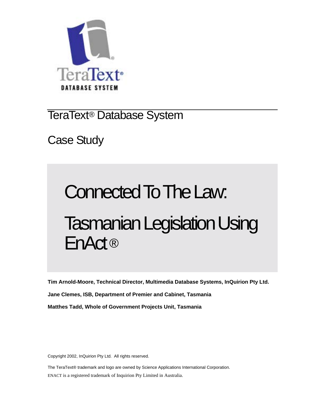

TeraText® Database System

Case Study

# Connected To The Law: Tasmanian Legislation Using EnAct ®

**Tim Arnold-Moore, Technical Director, Multimedia Database Systems, InQuirion Pty Ltd. Jane Clemes, ISB, Department of Premier and Cabinet, Tasmania Matthes Tadd, Whole of Government Projects Unit, Tasmania** 

Copyright 2002, InQuirion Pty Ltd. All rights reserved.

The TeraText® trademark and logo are owned by Science Applications International Corporation. ENACT is a registered trademark of Inquirion Pty Limited in Australia.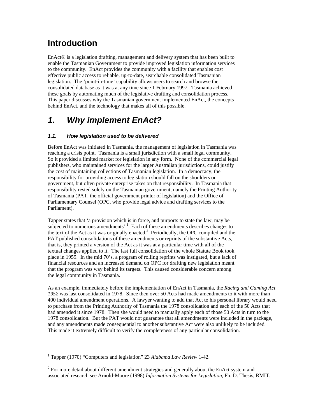## **Introduction**

EnAct® is a legislation drafting, management and delivery system that has been built to enable the Tasmanian Government to provide improved legislation information services to the community. EnAct provides the community with a facility that enables cost effective public access to reliable, up-to-date, searchable consolidated Tasmanian legislation. The 'point-in-time' capability allows users to search and browse the consolidated database as it was at any time since 1 February 1997. Tasmania achieved these goals by automating much of the legislative drafting and consolidation process. This paper discusses why the Tasmanian government implemented EnAct, the concepts behind EnAct, and the technology that makes all of this possible.

# *1. Why implement EnAct?*

## *1.1. How legislation used to be delivered*

Before EnAct was initiated in Tasmania, the management of legislation in Tasmania was reaching a crisis point. Tasmania is a small jurisdiction with a small legal community. So it provided a limited market for legislation in any form. None of the commercial legal publishers, who maintained services for the larger Australian jurisdictions, could justify the cost of maintaining collections of Tasmanian legislation. In a democracy, the responsibility for providing access to legislation should fall on the shoulders on government, but often private enterprise takes on that responsibility. In Tasmania that responsibility rested solely on the Tasmanian government, namely the Printing Authority of Tasmania (PAT, the official government printer of legislation) and the Office of Parliamentary Counsel (OPC, who provide legal advice and drafting services to the Parliament).

Tapper states that 'a provision which is in force, and purports to state the law, may be subjected to numerous amendments'.<sup>1</sup> Each of these amendments describes changes to the text of the Act as it was originally enacted.<sup>2</sup> Periodically, the OPC compiled and the PAT published consolidations of these amendments or reprints of the substantive Acts, that is, they printed a version of the Act as it was at a particular time with all of the textual changes applied to it. The last full consolidation of the whole Statute Book took place in 1959. In the mid 70's, a program of rolling reprints was instigated, but a lack of financial resources and an increased demand on OPC for drafting new legislation meant that the program was way behind its targets. This caused considerable concern among the legal community in Tasmania.

As an example, immediately before the implementation of EnAct in Tasmania, the *Racing and Gaming Act 1952* was last consolidated in 1978. Since then over 50 Acts had made amendments to it with more than 400 individual amendment operations. A lawyer wanting to add that Act to his personal library would need to purchase from the Printing Authority of Tasmania the 1978 consolidation and each of the 50 Acts that had amended it since 1978. Then she would need to manually apply each of those 50 Acts in turn to the 1978 consolidation. But the PAT would not guarantee that all amendments were included in the package, and any amendments made consequential to another substantive Act were also unlikely to be included. This made it extremely difficult to verify the completeness of any particular consolidation.

<sup>&</sup>lt;sup>1</sup> Tapper (1970) "Computers and legislation" 23 Alabama Law Review 1-42.

 $2^{2}$  For more detail about different amendment strategies and generally about the EnAct system and associated research see Arnold-Moore (1998) *Information Systems for Legislation*, Ph. D. Thesis, RMIT.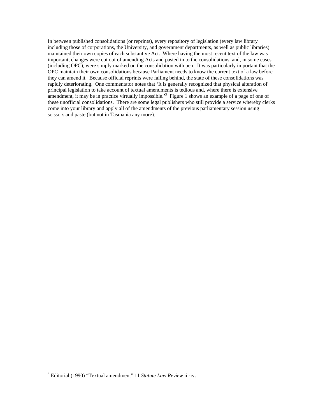In between published consolidations (or reprints), every repository of legislation (every law library including those of corporations, the University, and government departments, as well as public libraries) maintained their own copies of each substantive Act. Where having the most recent text of the law was important, changes were cut out of amending Acts and pasted in to the consolidations, and, in some cases (including OPC), were simply marked on the consolidation with pen. It was particularly important that the OPC maintain their own consolidations because Parliament needs to know the current text of a law before they can amend it. Because official reprints were falling behind, the state of these consolidations was rapidly deteriorating. One commentator notes that 'It is generally recognized that physical alteration of principal legislation to take account of textual amendments is tedious and, where there is extensive amendment, it may be in practice virtually impossible.<sup>3</sup> Figure 1 shows an example of a page of one of these unofficial consolidations. There are some legal publishers who still provide a service whereby clerks come into your library and apply all of the amendments of the previous parliamentary session using scissors and paste (but not in Tasmania any more).

-

<sup>3</sup> Editorial (1990) "Textual amendment" 11 *Statute Law Review* iii-iv.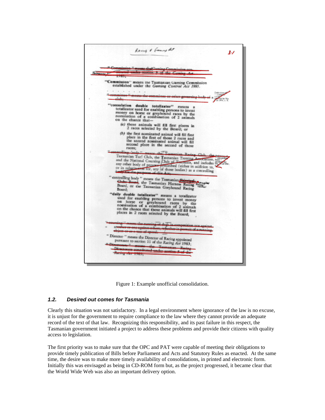

Figure 1: Example unofficial consolidation.

#### *1.2. Desired out comes for Tasmania*

Clearly this situation was not satisfactory. In a legal environment where ignorance of the law is no excuse, it is unjust for the government to require compliance to the law where they cannot provide an adequate record of the text of that law. Recognizing this responsibility, and its past failure in this respect, the Tasmanian government initiated a project to address these problems and provide their citizens with quality access to legislation.

The first priority was to make sure that the OPC and PAT were capable of meeting their obligations to provide timely publication of Bills before Parliament and Acts and Statutory Rules as enacted. At the same time, the desire was to make more timely availability of consolidations, in printed and electronic form. Initially this was envisaged as being in CD-ROM form but, as the project progressed, it became clear that the World Wide Web was also an important delivery option.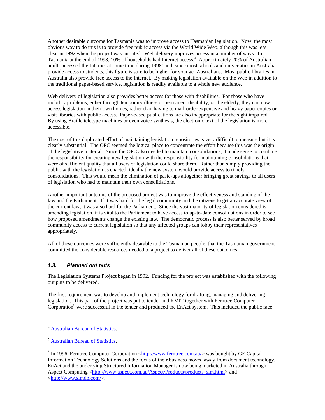Another desirable outcome for Tasmania was to improve access to Tasmanian legislation. Now, the most obvious way to do this is to provide free public access via the World Wide Web, although this was less clear in 1992 when the project was initiated. Web delivery improves access in a number of ways. In Tasmania at the end of 1998, 10% of households had Internet access.<sup>4</sup> Approximately 20% of Australian adults accessed the Internet at some time during 1998<sup>5</sup> and, since most schools and universities in Australia provide access to students, this figure is sure to be higher for younger Australians. Most public libraries in Australia also provide free access to the Internet. By making legislation available on the Web in addition to the traditional paper-based service, legislation is readily available to a whole new audience.

Web delivery of legislation also provides better access for those with disabilities. For those who have mobility problems, either through temporary illness or permanent disability, or the elderly, they can now access legislation in their own homes, rather than having to mail-order expensive and heavy paper copies or visit libraries with public access. Paper-based publications are also inappropriate for the sight impaired. By using Braille teletype machines or even voice synthesis, the electronic text of the legislation is more accessible.

The cost of this duplicated effort of maintaining legislation repositories is very difficult to measure but it is clearly substantial. The OPC seemed the logical place to concentrate the effort because this was the origin of the legislative material. Since the OPC also needed to maintain consolidations, it made sense to combine the responsibility for creating new legislation with the responsibility for maintaining consolidations that were of sufficient quality that all users of legislation could share them. Rather than simply providing the public with the legislation as enacted, ideally the new system would provide access to timely consolidations. This would mean the elimination of paste-ups altogether bringing great savings to all users of legislation who had to maintain their own consolidations.

Another important outcome of the proposed project was to improve the effectiveness and standing of the law and the Parliament. If it was hard for the legal community and the citizens to get an accurate view of the current law, it was also hard for the Parliament. Since the vast majority of legislation considered is amending legislation, it is vital to the Parliament to have access to up-to-date consolidations in order to see how proposed amendments change the existing law. The democratic process is also better served by broad community access to current legislation so that any affected groups can lobby their representatives appropriately.

All of these outcomes were sufficiently desirable to the Tasmanian people, that the Tasmanian government committed the considerable resources needed to a project to deliver all of these outcomes.

## *1.3. Planned out puts*

The Legislation Systems Project began in 1992. Funding for the project was established with the following out puts to be delivered.

The first requirement was to develop and implement technology for drafting, managing and delivering legislation. This part of the project was put to tender and RMIT together with Ferntree Computer Corporation<sup>6</sup> were successful in the tender and produced the EnAct system. This included the public face

<sup>&</sup>lt;sup>4</sup> Australian Bureau of Statistics.

<sup>5</sup> Australian Bureau of Statistics.

<sup>&</sup>lt;sup>6</sup> In 1996, Ferntree Computer Corporation < $\frac{http://www.ferntree.com.au/~$  was bought by GE Capital Information Technology Solutions and the focus of their business moved away from document technology. EnAct and the underlying Structured Information Manager is now being marketed in Australia through Aspect Computing <http://www.aspect.com.au/Aspect/Products/products\_sim.html> and <http://www.simdb.com/>.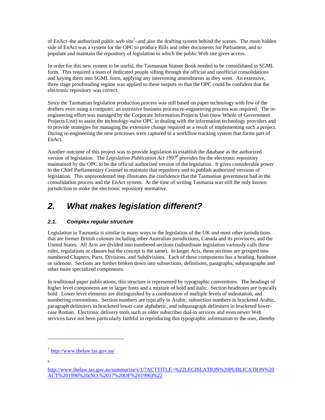of EnAct–the authorized public web site<sup>7</sup>–and also the drafting system behind the scenes. The more hidden side of EnAct was a system for the OPC to produce Bills and other documents for Parliament, and to populate and maintain the repository of legislation to which the public Web site gives access.

In order for this new system to be useful, the Tasmanian Statute Book needed to be consolidated in SGML form. This required a team of dedicated people sifting through the official and unofficial consolidations and keying them into SGML form, applying any intervening amendments as they went. An extensive, three stage proofreading regime was applied to these outputs so that the OPC could be confident that the electronic repository was correct.

Since the Tasmanian legislation production process was still based on paper technology with few of the drafters even using a computer, an extensive business process re-engineering process was required. The reengineering effort was managed by the Corporate Information Projects Unit (now Whole of Government Projects Unit) to assist the technology-naïve OPC in dealing with the information technology providers and to provide strategies for managing the extensive change required as a result of implementing such a project. During re-engineering the new processes were captured in a workflow tracking system that forms part of EnAct.

Another outcome of this project was to provide legislation to establish the database as the authorized version of legislation. The *Legislation Publication Act 1997*<sup>8</sup> provides for the electronic repository maintained by the OPC to be the official authorized version of the legislation. It gives considerable power to the Chief Parliamentary Counsel to maintain that repository and to publish authorized versions of legislation. This unprecedented step illustrates the confidence that the Tasmanian government had in the consolidation process and the EnAct system. At the time of writing Tasmania was still the only known jurisdiction to make the electronic repository normative.

## *2. What makes legislation different?*

## *2.1. Complex regular structure*

Legislation in Tasmania is similar in many ways to the legislation of the UK and most other jurisdictions that are former British colonies including other Australian jurisdictions, Canada and its provinces, and the United States. All Acts are divided into numbered sections (subordinate legislation variously calls these rules, regulations or clauses but the concept is the same). In larger Acts, these sections are grouped into numbered Chapters, Parts, Divisions, and Subdivisions. Each of these components has a heading, headnote or sidenote. Sections are further broken down into subsections, definitions, paragraphs, subparagraphs and other more specialized components.

In traditional paper publications, this structure is represented by typographic conventions. The headings of higher level components are in larger fonts and a mixture of bold and italic. Section headnotes are typically bold. Lower level elements are distinguished by a combination of multiple levels of indentation, and numbering conventions. Section numbers are typically in Arabic, subsection numbers in bracketed Arabic, paragraph delimiters in bracketed lower-case alphabetic, and subparagraph delimiters in bracketed lowercase Roman. Electronic delivery tools such as older subscriber dial-in services and even newer Web services have not been particularly faithful in reproducing this typographic information to the user, thereby

<sup>7</sup> http://www.thelaw.tas.gov.au/

<sup>8</sup>

http://www.thelaw.tas.gov.au/summarize/s/1/?ACTTITLE=%22LEGISLATION%20PUBLICATION%20 ACT%201996%20(NO.%2017%20OF%201996)%22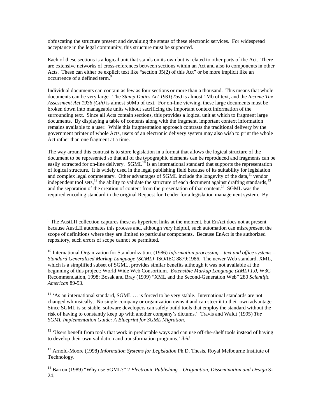obfuscating the structure present and devaluing the status of these electronic services. For widespread acceptance in the legal community, this structure must be supported.

Each of these sections is a logical unit that stands on its own but is related to other parts of the Act. There are extensive networks of cross-references between sections within an Act and also to components in other Acts. These can either be explicit text like "section 35(2) of this Act" or be more implicit like an occurrence of a defined term.<sup>9</sup>

Individual documents can contain as few as four sections or more than a thousand. This means that whole documents can be very large. The *Stamp Duties Act 1931(Tas)* is almost 1Mb of text, and the *Income Tax Assessment Act 1936 (Cth)* is almost 50Mb of text. For on-line viewing, these large documents must be broken down into manageable units without sacrificing the important context information of the surrounding text. Since all Acts contain sections, this provides a logical unit at which to fragment large documents. By displaying a table of contents along with the fragment, important context information remains available to a user. While this fragmentation approach contrasts the traditional delivery by the government printer of whole Acts, users of an electronic delivery system may also wish to print the whole Act rather than one fragment at a time.

The way around this contrast is to store legislation in a format that allows the logical structure of the document to be represented so that all of the typographic elements can be reproduced and fragments can be easily extracted for on-line delivery. SGML<sup>10</sup> is an international standard that supports the representation of logical structure. It is widely used in the legal publishing field because of its suitability for legislation and complex legal commentary. Other advantages of SGML include the longevity of the data,  $^{11}$  vendor independent tool sets, $^{12}$  the ability to validate the structure of each document against drafting standards, $^{13}$ and the separation of the creation of content from the presentation of that content.<sup>14</sup> SGML was the required encoding standard in the original Request for Tender for a legislation management system. By

 $\overline{a}$ 

 $12$  'Users benefit from tools that work in predictable ways and can use off-the-shelf tools instead of having to develop their own validation and transformation programs.' *ibid.*

13 Arnold-Moore (1998) *Information Systems for Legislation* Ph.D. Thesis, Royal Melbourne Institute of Technology.

14 Barron (1989) "Why use SGML?" 2 *Electronic Publishing – Origination, Dissemination and Design* 3- 24.

<sup>&</sup>lt;sup>9</sup> The AustLII collection captures these as hypertext links at the moment, but EnAct does not at present because AustLII automates this process and, although very helpful, such automation can misrepresent the scope of definitions where they are limited to particular components. Because EnAct is the authorized repository, such errors of scope cannot be permitted.

<sup>&</sup>lt;sup>10</sup> International Organization for Standardization. (1986) *Information processing – text and office systems – Standard Generalized Markup Language (SGML)* ISO/IEC 8879:1986. The newer Web standard, XML, which is a simplified subset of SGML, provides similar benefits although it was not available at the beginning of this project: World Wide Web Consortium. *Extensible Markup Language (XML) 1.0*, W3C Recommendation, 1998; Bosak and Bray (1999) "XML and the Second-Generation Web" 280 *Scientific American* 89-93.

<sup>&</sup>lt;sup>11</sup> 'As an international standard, SGML ... is forced to be very stable. International standards are not changed whimsically. No single company or organization owns it and can steer it to their own advantage. Since SGML is so stable, software developers can safely build tools that employ the standard without the risk of having to constantly keep up with another company's dictums.' Travis and Waldt (1995) *The SGML Implementation Guide: A Blueprint for SGML Migration*.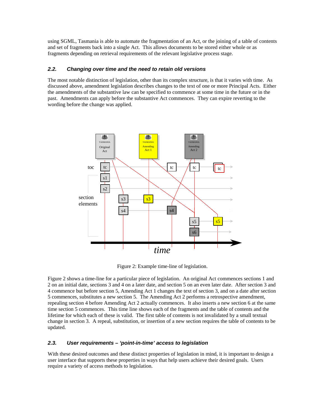using SGML, Tasmania is able to automate the fragmentation of an Act, or the joining of a table of contents and set of fragments back into a single Act. This allows documents to be stored either whole or as fragments depending on retrieval requirements of the relevant legislative process stage.

#### *2.2. Changing over time and the need to retain old versions*

The most notable distinction of legislation, other than its complex structure, is that it varies with time. As discussed above, amendment legislation describes changes to the text of one or more Principal Acts. Either the amendments of the substantive law can be specified to commence at some time in the future or in the past. Amendments can apply before the substantive Act commences. They can expire reverting to the wording before the change was applied.



Figure 2: Example time-line of legislation.

Figure 2 shows a time-line for a particular piece of legislation. An original Act commences sections 1 and 2 on an initial date, sections 3 and 4 on a later date, and section 5 on an even later date. After section 3 and 4 commence but before section 5, Amending Act 1 changes the text of section 3, and on a date after section 5 commences, substitutes a new section 5. The Amending Act 2 performs a retrospective amendment, repealing section 4 before Amending Act 2 actually commences. It also inserts a new section 6 at the same time section 5 commences. This time line shows each of the fragments and the table of contents and the lifetime for which each of these is valid. The first table of contents is not invalidated by a small textual change in section 3. A repeal, substitution, or insertion of a new section requires the table of contents to be updated.

## *2.3. User requirements – 'point-in-time' access to legislation*

With these desired outcomes and these distinct properties of legislation in mind, it is important to design a user interface that supports these properties in ways that help users achieve their desired goals. Users require a variety of access methods to legislation.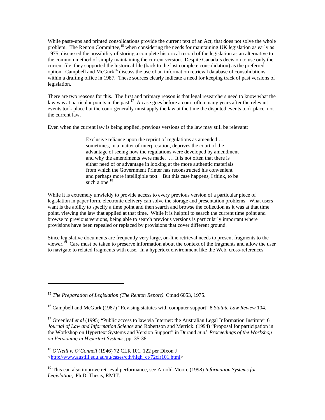While paste-ups and printed consolidations provide the current text of an Act, that does not solve the whole problem. The Renton Committee,<sup>15</sup> when considering the needs for maintaining UK legislation as early as 1975, discussed the possibility of storing a complete historical record of the legislation as an alternative to the common method of simply maintaining the current version. Despite Canada's decision to use only the current file, they supported the historical file (back to the last complete consolidation) as the preferred option. Campbell and McGurk<sup>16</sup> discuss the use of an information retrieval database of consolidations within a drafting office in 1987. These sources clearly indicate a need for keeping track of past versions of legislation.

There are two reasons for this. The first and primary reason is that legal researchers need to know what the law was at particular points in the past.<sup>17</sup> A case goes before a court often many years after the relevant events took place but the court generally must apply the law at the time the disputed events took place, not the current law.

Even when the current law is being applied, previous versions of the law may still be relevant:

Exclusive reliance upon the reprint of regulations as amended … sometimes, in a matter of interpretation, deprives the court of the advantage of seeing how the regulations were developed by amendment and why the amendments were made. … It is not often that there is either need of or advantage in looking at the more authentic materials from which the Government Printer has reconstructed his convenient and perhaps more intelligible text. But this case happens, I think, to be such a one.<sup>18</sup>

While it is extremely unwieldy to provide access to every previous version of a particular piece of legislation in paper form, electronic delivery can solve the storage and presentation problems. What users want is the ability to specify a time point and then search and browse the collection as it was at that time point, viewing the law that applied at that time. While it is helpful to search the current time point and browse to previous versions, being able to search previous versions is particularly important where provisions have been repealed or replaced by provisions that cover different ground.

Since legislative documents are frequently very large, on-line retrieval needs to present fragments to the viewer.19 Care must be taken to preserve information about the context of the fragments and allow the user to navigate to related fragments with ease. In a hypertext environment like the Web, cross-references

-

<sup>15</sup> *The Preparation of Legislation (The Renton Report)*. Cmnd 6053, 1975.

<sup>16</sup> Campbell and McGurk (1987) "Revising statutes with computer support" 8 *Statute Law Review* 104.

<sup>&</sup>lt;sup>17</sup> Greenleaf *et al* (1995) "Public access to law via Internet: the Australian Legal Information Institute" 6 *Journal of Law and Information Science* and Robertson and Merrick. (1994) "Proposal for participation in the Workshop on Hypertext Systems and Version Support" in Durand *et al Proceedings of the Workshop on Versioning in Hypertext Systems,* pp. 35-38.

<sup>18</sup> *O'Neill v. O'Connell* (1946) 72 CLR 101, 122 per Dixon J <http://www.austlii.edu.au/au/cases/cth/high\_ct/72clr101.html>

<sup>19</sup> This can also improve retrieval performance, see Arnold-Moore (1998) *Information Systems for Legislation*, Ph.D. Thesis, RMIT.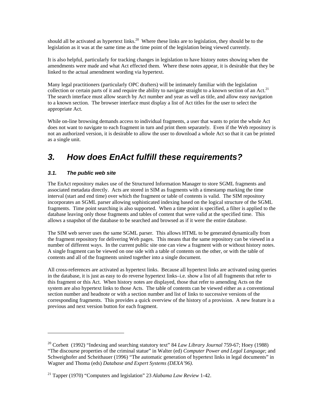should all be activated as hypertext links.<sup>20</sup> Where these links are to legislation, they should be to the legislation as it was at the same time as the time point of the legislation being viewed currently.

It is also helpful, particularly for tracking changes in legislation to have history notes showing when the amendments were made and what Act effected them. Where these notes appear, it is desirable that they be linked to the actual amendment wording via hypertext.

Many legal practitioners (particularly OPC drafters) will be intimately familiar with the legislation collection or certain parts of it and require the ability to navigate straight to a known section of an Act.<sup>21</sup> The search interface must allow search by Act number and year as well as title, and allow easy navigation to a known section. The browser interface must display a list of Act titles for the user to select the appropriate Act.

While on-line browsing demands access to individual fragments, a user that wants to print the whole Act does not want to navigate to each fragment in turn and print them separately. Even if the Web repository is not an authorized version, it is desirable to allow the user to download a whole Act so that it can be printed as a single unit.

## *3. How does EnAct fulfill these requirements?*

## *3.1. The public web site*

 $\overline{a}$ 

The EnAct repository makes use of the Structured Information Manager to store SGML fragments and associated metadata directly. Acts are stored in SIM as fragments with a timestamp marking the time interval (start and end time) over which the fragment or table of contents is valid. The SIM repository incorporates an SGML parser allowing sophisticated indexing based on the logical structure of the SGML fragments. Time point searching is also supported. When a time point is specified, a filter is applied to the database leaving only those fragments and tables of content that were valid at the specified time. This allows a snapshot of the database to be searched and browsed as if it were the entire database.

The SIM web server uses the same SGML parser. This allows HTML to be generated dynamically from the fragment repository for delivering Web pages. This means that the same repository can be viewed in a number of different ways. In the current public site one can view a fragment with or without history notes. A single fragment can be viewed on one side with a table of contents on the other, or with the table of contents and all of the fragments united together into a single document.

All cross-references are activated as hypertext links. Because all hypertext links are activated using queries in the database, it is just as easy to do reverse hypertext links–i.e. show a list of all fragments that refer to this fragment or this Act. When history notes are displayed, those that refer to amending Acts on the system are also hypertext links to those Acts. The table of contents can be viewed either as a conventional section number and headnote or with a section number and list of links to successive versions of the corresponding fragments. This provides a quick overview of the history of a provision. A new feature is a previous and next version button for each fragment.

<sup>20</sup> Corbett (1992) "Indexing and searching statutory text" 84 *Law Library Journal* 759-67; Hoey (1988) "The discourse properties of the criminal statue" in Walter (ed) *Computer Power and Legal Language*; and Schweighofer and Scheithauer (1996) "The automatic generation of hypertext links in legal documents" in Wagner and Thoma (eds) *Database and Expert Systems (DEXA'96)*.

<sup>21</sup> Tapper (1970) "Computers and legislation" 23 *Alabama Law Review* 1-42.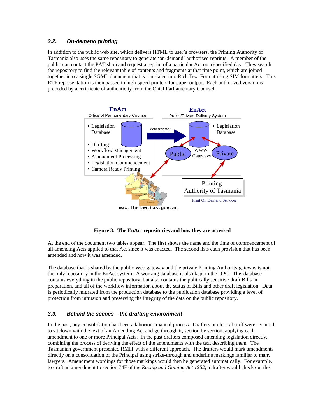#### *3.2. On-demand printing*

In addition to the public web site, which delivers HTML to user's browsers, the Printing Authority of Tasmania also uses the same repository to generate 'on-demand' authorized reprints. A member of the public can contact the PAT shop and request a reprint of a particular Act on a specified day. They search the repository to find the relevant table of contents and fragments at that time point, which are joined together into a single SGML document that is translated into Rich Text Format using SIM formatters. This RTF representation is then passed to high-speed printers for paper output. Each authorized version is preceded by a certificate of authenticity from the Chief Parliamentary Counsel.



**Figure 3: The EnAct repositories and how they are accessed** 

At the end of the document two tables appear. The first shows the name and the time of commencement of all amending Acts applied to that Act since it was enacted. The second lists each provision that has been amended and how it was amended.

The database that is shared by the public Web gateway and the private Printing Authority gateway is not the only repository in the EnAct system. A working database is also kept in the OPC. This database contains everything in the public repository, but also contains the politically sensitive draft Bills in preparation, and all of the workflow information about the status of Bills and other draft legislation. Data is periodically migrated from the production database to the publication database providing a level of protection from intrusion and preserving the integrity of the data on the public repository.

## *3.3. Behind the scenes – the drafting environment*

In the past, any consolidation has been a laborious manual process. Drafters or clerical staff were required to sit down with the text of an Amending Act and go through it, section by section, applying each amendment to one or more Principal Acts. In the past drafters composed amending legislation directly, combining the process of deriving the effect of the amendments with the text describing them. The Tasmanian government presented RMIT with a different approach. The drafters would mark amendments directly on a consolidation of the Principal using strike-through and underline markings familiar to many lawyers. Amendment wordings for those markings would then be generated automatically. For example, to draft an amendment to section 74F of the *Racing and Gaming Act 1952*, a drafter would check out the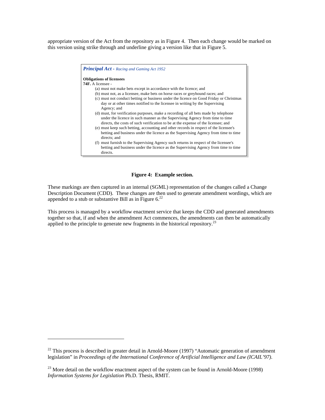appropriate version of the Act from the repository as in Figure 4. Then each change would be marked on this version using strike through and underline giving a version like that in Figure 5.

| <b>Principal Act - Racing and Gaming Act 1952</b>                                                                                                                                                                                                        |  |  |  |
|----------------------------------------------------------------------------------------------------------------------------------------------------------------------------------------------------------------------------------------------------------|--|--|--|
| <b>Obligations of licensees</b>                                                                                                                                                                                                                          |  |  |  |
| <b>74F.</b> A licensee -                                                                                                                                                                                                                                 |  |  |  |
| (a) must not make bets except in accordance with the licence; and                                                                                                                                                                                        |  |  |  |
| (b) must not, as a licensee, make bets on horse races or greyhound races; and                                                                                                                                                                            |  |  |  |
| (c) must not conduct betting or business under the licence on Good Friday or Christmas<br>day or at other times notified to the licensee in writing by the Supervising<br>Agency; and                                                                    |  |  |  |
| (d) must, for verification purposes, make a recording of all bets made by telephone<br>under the licence in such manner as the Supervising Agency from time to time<br>directs, the costs of such verification to be at the expense of the licensee; and |  |  |  |
| (e) must keep such betting, accounting and other records in respect of the licensee's<br>betting and business under the licence as the Supervising Agency from time to time<br>directs; and                                                              |  |  |  |
| (f) must furnish to the Supervising Agency such returns in respect of the licensee's<br>betting and business under the licence as the Supervising Agency from time to time<br>directs.                                                                   |  |  |  |

#### **Figure 4: Example section.**

These markings are then captured in an internal (SGML) representation of the changes called a Change Description Document (CDD). These changes are then used to generate amendment wordings, which are appended to a stub or substantive Bill as in Figure  $6.22$ 

This process is managed by a workflow enactment service that keeps the CDD and generated amendments together so that, if and when the amendment Act commences, the amendments can then be automatically applied to the principle to generate new fragments in the historical repository.<sup>23</sup>

 $^{22}$  This process is described in greater detail in Arnold-Moore (1997) "Automatic generation of amendment legislation" in *Proceedings of the International Conference of Artificial Intelligence and Law (ICAIL'97)*.

 $^{23}$  More detail on the workflow enactment aspect of the system can be found in Arnold-Moore (1998) *Information Systems for Legislation* Ph.D. Thesis, RMIT.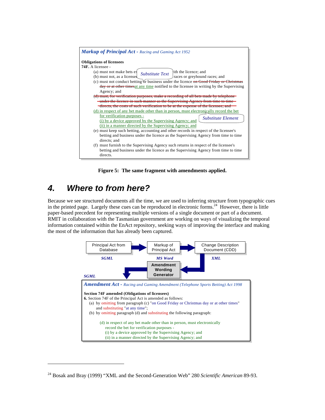| <b>Markup of Principal Act - Racing and Gaming Act 1952</b>                                                                                                                                                                                                                                                                                                                                                                                                                                                                                                                                                                                                                                                                                              |  |  |  |
|----------------------------------------------------------------------------------------------------------------------------------------------------------------------------------------------------------------------------------------------------------------------------------------------------------------------------------------------------------------------------------------------------------------------------------------------------------------------------------------------------------------------------------------------------------------------------------------------------------------------------------------------------------------------------------------------------------------------------------------------------------|--|--|--|
| <b>Obligations of licensees</b><br>74F. A licensee -<br>ith the licence; and<br>(a) must not make bets ex<br><b>Substitute Text</b><br>(b) must not, as a licensed<br>races or greyhound races; and<br>(c) must not conduct betting of business under the licence on Good Friday or Christmas<br>day or at other times at any time notified to the licensee in writing by the Supervising<br>Agency; and<br>(d) must, for verification purposes, make a recording of all bets made by telephone<br>under the licence in such manner as the Supervising Agency from time to time                                                                                                                                                                          |  |  |  |
| directs, the costs of such verification to be at the expense of the licensee, and<br>(d) in respect of any bet made other than in person, must electronically record the bet<br>for verification purposes -<br><b>Substitute Element</b><br>(i) by a device approved by the Supervising Agency; and<br>(ii) in a manner directed by the Supervising Agency; and<br>(e) must keep such betting, accounting and other records in respect of the licensee's<br>betting and business under the licence as the Supervising Agency from time to time<br>directs; and<br>(f) must furnish to the Supervising Agency such returns in respect of the licensee's<br>betting and business under the licence as the Supervising Agency from time to time<br>directs. |  |  |  |

**Figure 5: The same fragment with amendments applied.** 

## *4. Where to from here?*

-

Because we see structured documents all the time, we are used to inferring structure from typographic cues in the printed page. Largely these cues can be reproduced in electronic forms.<sup>24</sup> However, there is little paper-based precedent for representing multiple versions of a single document or part of a document. RMIT in collaboration with the Tasmanian government are working on ways of visualizing the temporal information contained within the EnAct repository, seeking ways of improving the interface and making the most of the information that has already been captured.



<sup>24</sup> Bosak and Bray (1999) "XML and the Second-Generation Web" 280 *Scientific American* 89-93.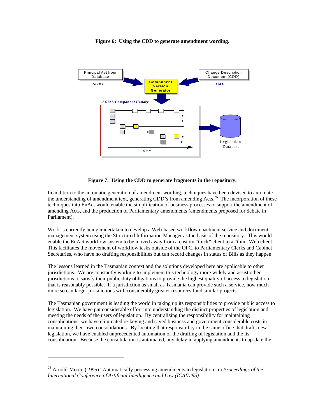

#### **Figure 6: Using the CDD to generate amendment wording.**



In addition to the automatic generation of amendment wording, techniques have been devised to automate the understanding of amendment text, generating CDD's from amending Acts.<sup>25</sup> The incorporation of these techniques into EnAct would enable the simplification of business processes to support the amendment of amending Acts, and the production of Parliamentary amendments (amendments proposed for debate in Parliament).

Work is currently being undertaken to develop a Web-based workflow enactment service and document management system using the Structured Information Manager as the basis of the repository. This would enable the EnAct workflow system to be moved away from a custom "thick" client to a "thin" Web client. This facilitates the movement of workflow tasks outside of the OPC, to Parliamentary Clerks and Cabinet Secretaries, who have no drafting responsibilities but can record changes in status of Bills as they happen.

The lessons learned in the Tasmanian context and the solutions developed here are applicable to other jurisdictions. We are constantly working to implement this technology more widely and assist other jurisdictions to satisfy their public duty obligations to provide the highest quality of access to legislation that is reasonably possible. If a jurisdiction as small as Tasmania can provide such a service, how much more so can larger jurisdictions with considerably greater resources fund similar projects.

The Tasmanian government is leading the world in taking up its responsibilities to provide public access to legislation. We have put considerable effort into understanding the distinct properties of legislation and meeting the needs of the users of legislation. By centralizing the responsibility for maintaining consolidations, we have eliminated re-keying and saved business and government considerable costs in maintaining their own consolidations. By locating that responsibility in the same office that drafts new legislation, we have enabled unprecedented automation of the drafting of legislation and the its consolidation. Because the consolidation is automated, any delay in applying amendments to up-date the

<sup>25</sup> Arnold-Moore (1995) "Automatically processing amendments to legislation" in *Proceedings of the International Conference of Artificial Intelligence and Law (ICAIL'95)*.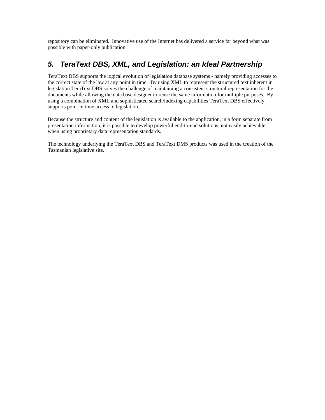repository can be eliminated. Innovative use of the Internet has delivered a service far beyond what was possible with paper-only publication.

## *5. TeraText DBS, XML, and Legislation: an Ideal Partnership*

TeraText DBS supports the logical evolution of legislation database systems - namely providing accesses to the correct state of the law at any point in time. By using XML to represent the structured text inherent in legislation TeraText DBS solves the challenge of maintaining a consistent structural representation for the documents while allowing the data base designer to reuse the same information for multiple purposes. By using a combination of XML and sophisticated search/indexing capabilities TeraText DBS effectively supports point in time access to legislation.

Because the structure and content of the legislation is available to the application, in a form separate from presentation information, it is possible to develop powerful end-to-end solutions, not easily achievable when using proprietary data representation standards.

The technology underlying the TeraText DBS and TeraText DMS products was used in the creation of the Tasmanian legislative site.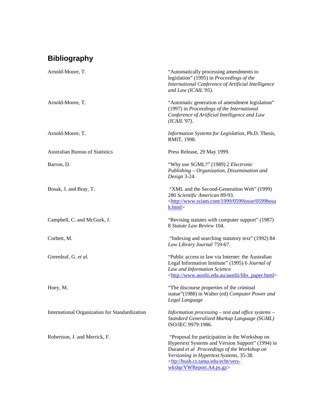# **Bibliography**

| Arnold-Moore, T.                               | "Automatically processing amendments to<br>legislation" (1995) in Proceedings of the<br>International Conference of Artificial Intelligence<br>and Law (ICAIL'95).                                                                                                               |
|------------------------------------------------|----------------------------------------------------------------------------------------------------------------------------------------------------------------------------------------------------------------------------------------------------------------------------------|
| Arnold-Moore, T.                               | "Automatic generation of amendment legislation"<br>(1997) in Proceedings of the International<br>Conference of Artificial Intelligence and Law<br>(ICAIL'97).                                                                                                                    |
| Arnold-Moore, T.                               | Information Systems for Legislation, Ph.D. Thesis,<br>RMIT, 1998.                                                                                                                                                                                                                |
| <b>Australian Bureau of Statistics</b>         | Press Release, 29 May 1999.                                                                                                                                                                                                                                                      |
| Barron, D.                                     | "Why use SGML?" (1989) 2 Electronic<br>Publishing - Organization, Dissemination and<br>Design 3-24.                                                                                                                                                                              |
| Bosak, J. and Bray, T.                         | "XML and the Second-Generation Web" (1999)<br>280 Scientific American 89-93.<br><http: 0599bosa<br="" 0599issue="" 1999="" www.sciam.com="">k.html</http:>                                                                                                                       |
| Campbell, C. and McGurk, J.                    | "Revising statutes with computer support" (1987)<br>8 Statute Law Review 104.                                                                                                                                                                                                    |
| Corbett, M.                                    | "Indexing and searching statutory text" (1992) 84<br>Law Library Journal 759-67.                                                                                                                                                                                                 |
| Greenleaf, G. et al.                           | "Public access to law via Internet: the Australian<br>Legal Information Institute" (1995) 6 Journal of<br>Law and Information Science<br><http: austlii="" libs="" paper.html="" www.austlii.edu.au=""></http:>                                                                  |
| Hoey, M.                                       | "The discourse properties of the criminal<br>statue"(1988) in Walter (ed) Computer Power and<br>Legal Language                                                                                                                                                                   |
| International Organization for Standardization | Information processing – text and office systems –<br>Standard Generalized Markup Language (SGML)<br>ISO/IEC 9979:1986.                                                                                                                                                          |
| Robertson, J. and Merrick, F.                  | "Proposal for participation in the Workshop on<br>Hypertext Systems and Version Support" (1994) in<br>Durand et al Proceedings of the Workshop on<br>Versioning in Hypertext Systems, 35-38.<br><ftp: bush.cs.tamu.edu="" echt="" vers-<br="">wkshp/VWReport.A4.ps.gz&gt;</ftp:> |